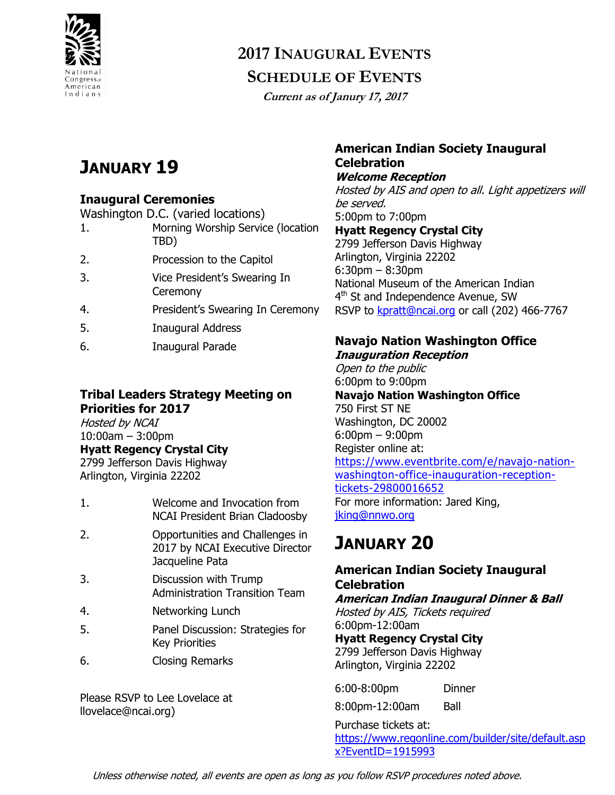

### **2017 INAUGURAL EVENTS SCHEDULE OF EVENTS**

**Current as of Janury 17, 2017**

# **JANUARY 19**

### **Inaugural Ceremonies**

Washington D.C. (varied locations)

- 1. Morning Worship Service (location TBD)
- 2. Procession to the Capitol
- 3. Vice President's Swearing In **Ceremony**
- 4. President's Swearing In Ceremony
- 5. Inaugural Address
- 6. Inaugural Parade

### **Tribal Leaders Strategy Meeting on Priorities for 2017**

Hosted by NCAI 10:00am – 3:00pm **Hyatt Regency Crystal City** 2799 Jefferson Davis Highway Arlington, Virginia 22202

- 1. Welcome and Invocation from NCAI President Brian Cladoosby
- 2. Opportunities and Challenges in 2017 by NCAI Executive Director Jacqueline Pata
- 3. Discussion with Trump Administration Transition Team
- 4. Networking Lunch
- 5. Panel Discussion: Strategies for Key Priorities
- 6. Closing Remarks

Please RSVP to Lee Lovelace at llovelace@ncai.org)

### **American Indian Society Inaugural Celebration**

#### **Welcome Reception**

Hosted by AIS and open to all. Light appetizers will be served. 5:00pm to 7:00pm **Hyatt Regency Crystal City**

2799 Jefferson Davis Highway Arlington, Virginia 22202 6:30pm – 8:30pm National Museum of the American Indian 4<sup>th</sup> St and Independence Avenue, SW RSVP to [kpratt@ncai.org](mailto:kpratt@ncai.org) or call (202) 466-7767

#### **Navajo Nation Washington Office Inauguration Reception**

Open to the public 6:00pm to 9:00pm **Navajo Nation Washington Office** 750 First ST NE Washington, DC 20002 6:00pm – 9:00pm Register online at: [https://www.eventbrite.com/e/navajo-nation](https://www.eventbrite.com/e/navajo-nation-washington-office-inauguration-reception-tickets-29800016652)[washington-office-inauguration-reception](https://www.eventbrite.com/e/navajo-nation-washington-office-inauguration-reception-tickets-29800016652)[tickets-29800016652](https://www.eventbrite.com/e/navajo-nation-washington-office-inauguration-reception-tickets-29800016652) For more information: Jared King, [jking@nnwo.org](mailto:jking@nnwo.org)

# **JANUARY 20**

### **American Indian Society Inaugural Celebration**

#### **American Indian Inaugural Dinner & Ball** Hosted by AIS, Tickets required

6:00pm-12:00am

**Hyatt Regency Crystal City** 2799 Jefferson Davis Highway

Arlington, Virginia 22202

6:00-8:00pm Dinner

8:00pm-12:00am Ball

Purchase tickets at: [https://www.regonline.com/builder/site/default.asp](https://www.regonline.com/builder/site/default.aspx?EventID=1915993) [x?EventID=1915993](https://www.regonline.com/builder/site/default.aspx?EventID=1915993)

Unless otherwise noted, all events are open as long as you follow RSVP procedures noted above.